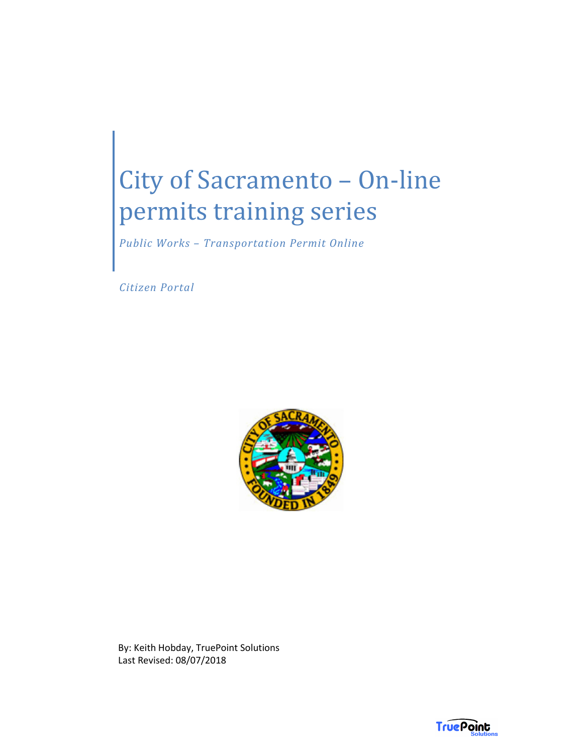*Public Works – Transportation Permit Online* 

 *Citizen Portal* 



By: Keith Hobday, TruePoint Solutions Last Revised: 08/07/2018

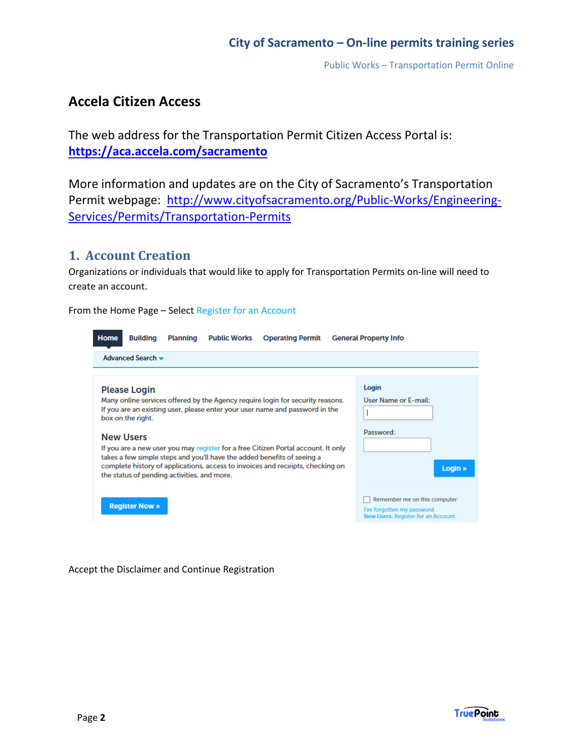Public Works – Transportation Permit Online

## **Accela Citizen Access**

The web address for the Transportation Permit Citizen Access Portal is: **https://aca.accela.com/sacramento**

More information and updates are on the City of Sacramento's Transportation Permit webpage: http://www.cityofsacramento.org/Public-Works/Engineering-Services/Permits/Transportation-Permits

#### **1. Account Creation**

Organizations or individuals that would like to apply for Transportation Permits on-line will need to create an account.

From the Home Page – Select Register for an Account

| <b>Home</b> | <b>Building</b>                                                                                             | <b>Planning</b> | <b>Public Works</b> | <b>Operating Permit</b>                                                                                                                                                                                                                                                                                                                                                                                          | <b>General Property Info</b>                                                          |
|-------------|-------------------------------------------------------------------------------------------------------------|-----------------|---------------------|------------------------------------------------------------------------------------------------------------------------------------------------------------------------------------------------------------------------------------------------------------------------------------------------------------------------------------------------------------------------------------------------------------------|---------------------------------------------------------------------------------------|
|             | Advanced Search $\blacktriangleright$                                                                       |                 |                     |                                                                                                                                                                                                                                                                                                                                                                                                                  |                                                                                       |
|             |                                                                                                             |                 |                     |                                                                                                                                                                                                                                                                                                                                                                                                                  |                                                                                       |
|             | <b>Please Login</b><br>box on the right.<br><b>New Users</b><br>the status of pending activities, and more. |                 |                     | Many online services offered by the Agency require login for security reasons.<br>If you are an existing user, please enter your user name and password in the<br>If you are a new user you may register for a free Citizen Portal account. It only<br>takes a few simple steps and you'll have the added benefits of seeing a<br>complete history of applications, access to invoices and receipts, checking on | Login<br>User Name or E-mail:<br>Password:<br>Login »<br>Remember me on this computer |
|             | <b>Register Now »</b>                                                                                       |                 |                     |                                                                                                                                                                                                                                                                                                                                                                                                                  | I've forgotten my password<br><b>New Users: Register for an Account</b>               |

Accept the Disclaimer and Continue Registration

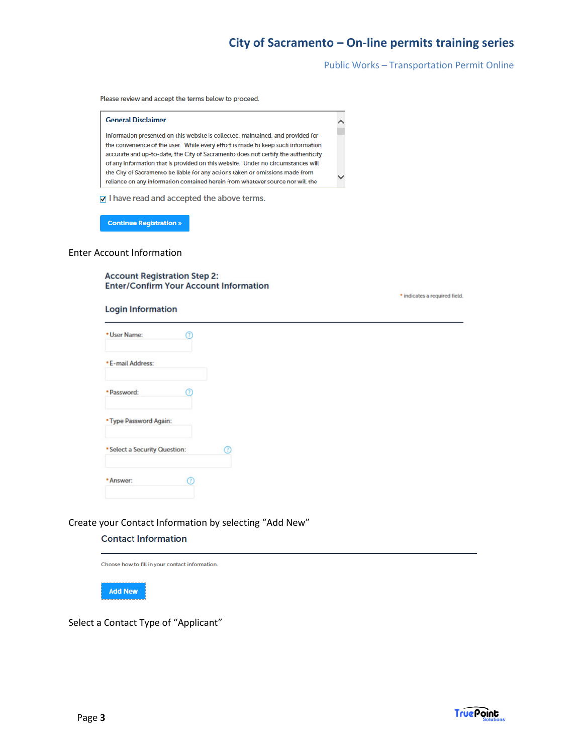Public Works – Transportation Permit Online

Please review and accept the terms below to proceed.



#### Enter Account Information

**Account Registration Step 2: Enter/Confirm Your Account Information** 

| * indicates a required field. |  |  |  |  |  |
|-------------------------------|--|--|--|--|--|
|-------------------------------|--|--|--|--|--|

#### **Login Information**

| * User Name:                  | ⋒ |
|-------------------------------|---|
| * E-mail Address:             |   |
| · Password:                   | σ |
| * Type Password Again:        |   |
| * Select a Security Question: |   |
| * Answer:                     |   |

#### Create your Contact Information by selecting "Add New"

#### **Contact Information**

Choose how to fill in your contact information.



Select a Contact Type of "Applicant"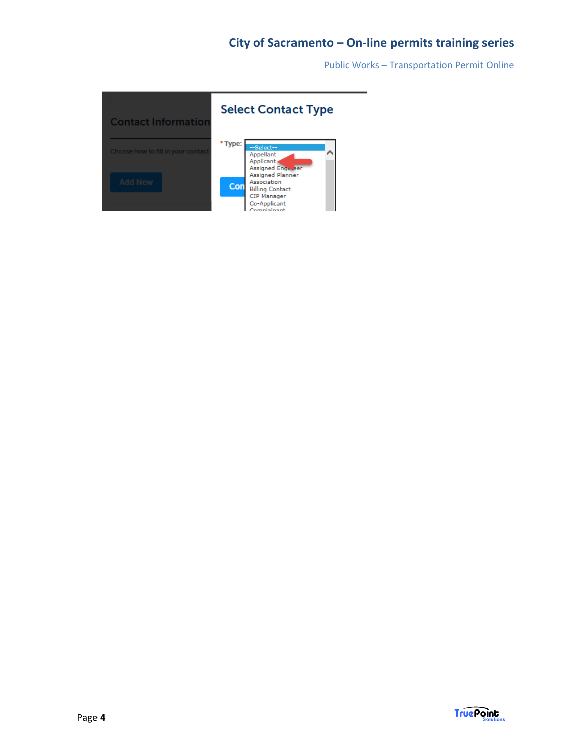Public Works – Transportation Permit Online

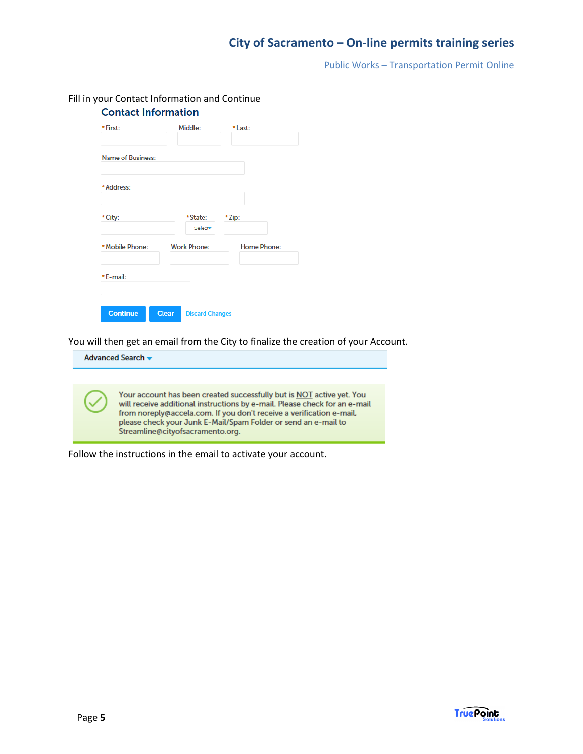Public Works – Transportation Permit Online

| * Zip:             |
|--------------------|
|                    |
|                    |
|                    |
| <b>Home Phone:</b> |
|                    |
|                    |

Fill in your Contact Information and Continue

You will then get an email from the City to finalize the creation of your Account.

Advanced Search v Your account has been created successfully but is NOT active yet. You will receive additional instructions by e-mail. Please check for an e-mail from noreply@accela.com. If you don't receive a verification e-mail, please check your Junk E-Mail/Spam Folder or send an e-mail to Streamline@cityofsacramento.org.

Follow the instructions in the email to activate your account.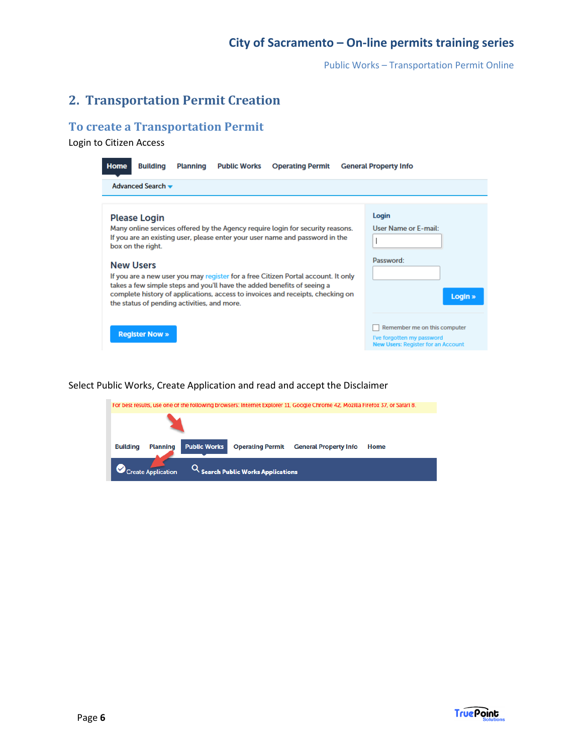Public Works – Transportation Permit Online

## **2. Transportation Permit Creation**

#### **To create a Transportation Permit**

Login to Citizen Access

| <b>Home</b> | <b>Building</b>                                                                                             | <b>Planning</b> | <b>Public Works</b> | <b>Operating Permit</b>                                                                                                                                                                                                                                                                                                                                                                                          | <b>General Property Info</b>                                                                     |
|-------------|-------------------------------------------------------------------------------------------------------------|-----------------|---------------------|------------------------------------------------------------------------------------------------------------------------------------------------------------------------------------------------------------------------------------------------------------------------------------------------------------------------------------------------------------------------------------------------------------------|--------------------------------------------------------------------------------------------------|
|             | Advanced Search $\blacktriangleright$                                                                       |                 |                     |                                                                                                                                                                                                                                                                                                                                                                                                                  |                                                                                                  |
|             |                                                                                                             |                 |                     |                                                                                                                                                                                                                                                                                                                                                                                                                  |                                                                                                  |
|             | <b>Please Login</b><br>box on the right.<br><b>New Users</b><br>the status of pending activities, and more. |                 |                     | Many online services offered by the Agency require login for security reasons.<br>If you are an existing user, please enter your user name and password in the<br>If you are a new user you may register for a free Citizen Portal account. It only<br>takes a few simple steps and you'll have the added benefits of seeing a<br>complete history of applications, access to invoices and receipts, checking on | Login<br>User Name or E-mail:<br>Password:<br>Login »                                            |
|             | <b>Register Now »</b>                                                                                       |                 |                     |                                                                                                                                                                                                                                                                                                                                                                                                                  | Remember me on this computer<br>I've forgotten my password<br>New Users: Register for an Account |

Select Public Works, Create Application and read and accept the Disclaimer

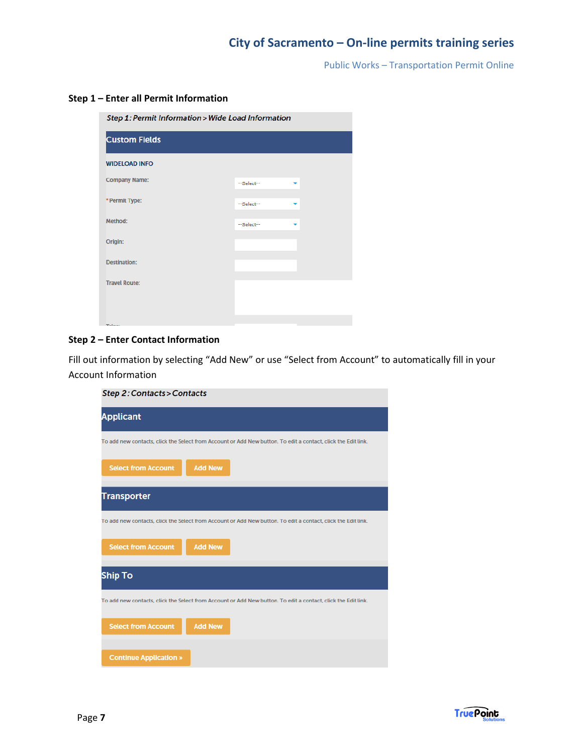Public Works – Transportation Permit Online

#### **Step 1 – Enter all Permit Information**

Step 1: Permit Information > Wide Load Information

| <b>Custom Fields</b> |            |   |
|----------------------|------------|---|
| <b>WIDELOAD INFO</b> |            |   |
| <b>Company Name:</b> | --Select-- | ▼ |
| * Permit Type:       | --Select-- | ▼ |
| Method:              | --Select-- |   |
| Origin:              |            |   |
| <b>Destination:</b>  |            |   |
| <b>Travel Route:</b> |            |   |
|                      |            |   |
| $ -$                 |            |   |

#### **Step 2 – Enter Contact Information**

Fill out information by selecting "Add New" or use "Select from Account" to automatically fill in your Account Information

| Step 2: Contacts > Contacts                                                                                   |
|---------------------------------------------------------------------------------------------------------------|
| <b>Applicant</b>                                                                                              |
| To add new contacts, click the Select from Account or Add New button. To edit a contact, click the Edit link. |
| <b>Select from Account</b><br><b>Add New</b>                                                                  |
| <b>Transporter</b>                                                                                            |
| To add new contacts, click the Select from Account or Add New button. To edit a contact, click the Edit link. |
| <b>Select from Account</b><br><b>Add New</b>                                                                  |
| <b>Ship To</b>                                                                                                |
| To add new contacts, click the Select from Account or Add New button. To edit a contact, click the Edit link. |
| <b>Add New</b><br><b>Select from Account</b>                                                                  |
| <b>Continue Application »</b>                                                                                 |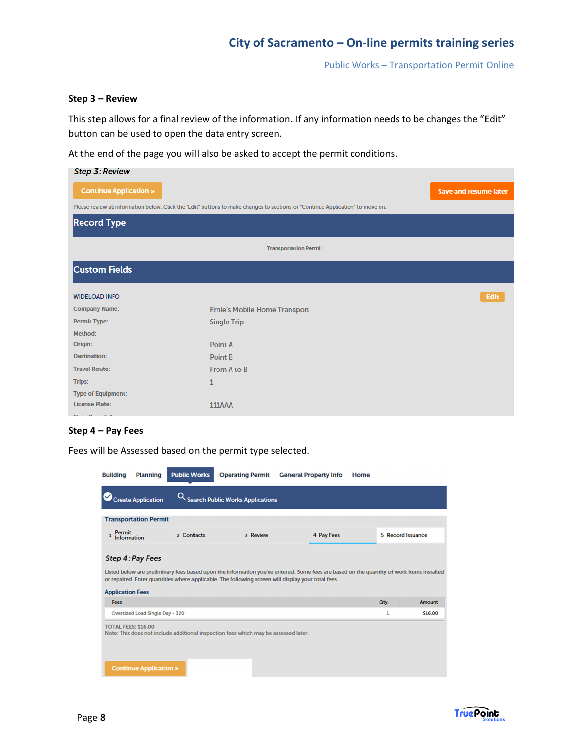Public Works – Transportation Permit Online

#### **Step 3 – Review**

This step allows for a final review of the information. If any information needs to be changes the "Edit" button can be used to open the data entry screen.

At the end of the page you will also be asked to accept the permit conditions.

| <b>Step 3: Review</b>             |                                                                                                                                 |                              |
|-----------------------------------|---------------------------------------------------------------------------------------------------------------------------------|------------------------------|
| <b>Continue Application »</b>     |                                                                                                                                 | <b>Save and resume later</b> |
|                                   | Please review all information below. Click the "Edit" buttons to make changes to sections or "Continue Application" to move on. |                              |
| <b>Record Type</b>                |                                                                                                                                 |                              |
|                                   | <b>Transportation Permit</b>                                                                                                    |                              |
| <b>Custom Fields</b>              |                                                                                                                                 |                              |
| <b>WIDELOAD INFO</b>              |                                                                                                                                 | Edit                         |
| <b>Company Name:</b>              | Ernie's Mobile Home Transport                                                                                                   |                              |
| <b>Permit Type:</b>               | <b>Single Trip</b>                                                                                                              |                              |
| Method:                           |                                                                                                                                 |                              |
| Origin:                           | Point A                                                                                                                         |                              |
| <b>Destination:</b>               | <b>Point B</b>                                                                                                                  |                              |
| <b>Travel Route:</b>              | From A to B                                                                                                                     |                              |
| <b>Trips:</b>                     | 1                                                                                                                               |                              |
| <b>Type of Equipment:</b>         |                                                                                                                                 |                              |
| <b>License Plate:</b>             | <b>111AAA</b>                                                                                                                   |                              |
| <b>Country Distances In Alley</b> |                                                                                                                                 |                              |

#### **Step 4 – Pay Fees**

Fees will be Assessed based on the permit type selected.

| <b>Building</b>                     | <b>Planning</b>                        | <b>Public Works</b> | <b>Operating Permit</b>                                                             | <b>General Property Info</b>                                                                                                                                                                                                                   | Home |                   |         |
|-------------------------------------|----------------------------------------|---------------------|-------------------------------------------------------------------------------------|------------------------------------------------------------------------------------------------------------------------------------------------------------------------------------------------------------------------------------------------|------|-------------------|---------|
|                                     | <b>Create Application</b>              |                     | Q Search Public Works Applications                                                  |                                                                                                                                                                                                                                                |      |                   |         |
|                                     | <b>Transportation Permit</b>           |                     |                                                                                     |                                                                                                                                                                                                                                                |      |                   |         |
| <b>Permit</b><br><b>Information</b> |                                        | 2 Contacts          | 3 Review                                                                            | 4 Pay Fees                                                                                                                                                                                                                                     |      | 5 Record Issuance |         |
| <b>Application Fees</b>             | <b>Step 4: Pay Fees</b>                |                     |                                                                                     | Listed below are preliminary fees based upon the information you've entered. Some fees are based on the quantity of work items installed<br>or repaired. Enter quantities where applicable. The following screen will display your total fees. |      |                   |         |
| Fees                                |                                        |                     |                                                                                     |                                                                                                                                                                                                                                                |      | Qty.              | Amount  |
|                                     | <b>Oversized Load Single Day - 320</b> |                     |                                                                                     |                                                                                                                                                                                                                                                |      | 1                 | \$16.00 |
| <b>TOTAL FEES: \$16.00</b>          | <b>Continue Application »</b>          |                     | Note: This does not include additional inspection fees which may be assessed later. |                                                                                                                                                                                                                                                |      |                   |         |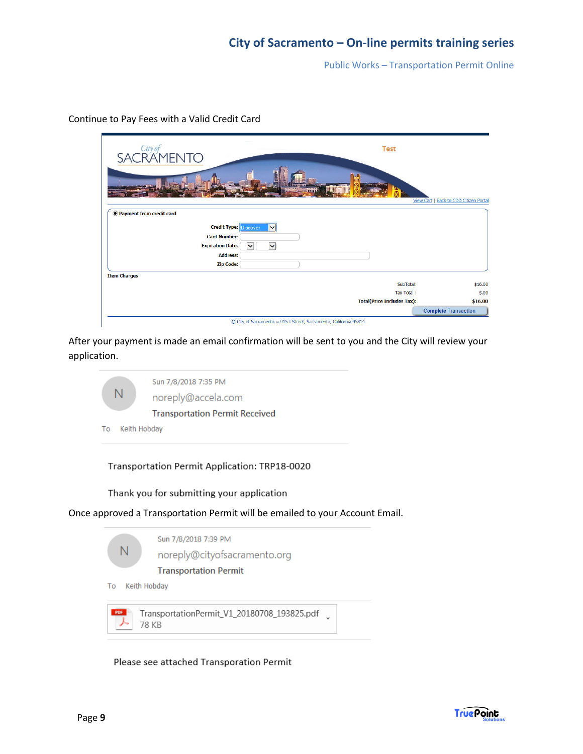Public Works – Transportation Permit Online

| <b>Test</b><br>SACRAMENTO                                                                                                                                                      |                                                            |
|--------------------------------------------------------------------------------------------------------------------------------------------------------------------------------|------------------------------------------------------------|
| <b>WELLER STIP</b>                                                                                                                                                             | View Cart   Back to CDD Citizen Portal                     |
| • Payment from credit card                                                                                                                                                     |                                                            |
| <b>Credit Type:</b><br><b>Discover</b><br>$\checkmark$<br><b>Card Number:</b><br><b>Expiration Date:</b><br>$\checkmark$<br>$\check{ }$<br><b>Address:</b><br><b>Zip Code:</b> |                                                            |
| <b>Item Charges</b><br>SubTotal:<br>Tax Total:<br><b>Total(Price Includes Tax):</b>                                                                                            | \$16.00<br>\$.00<br>\$16.00<br><b>Complete Transaction</b> |

Continue to Pay Fees with a Valid Credit Card

After your payment is made an email confirmation will be sent to you and the City will review your application.

|    | Sun 7/8/2018 7:35 PM<br>noreply@accela.com |
|----|--------------------------------------------|
|    | <b>Transportation Permit Received</b>      |
| То | Keith Hobday                               |

Transportation Permit Application: TRP18-0020

Thank you for submitting your application

Once approved a Transportation Permit will be emailed to your Account Email.



Please see attached Transporation Permit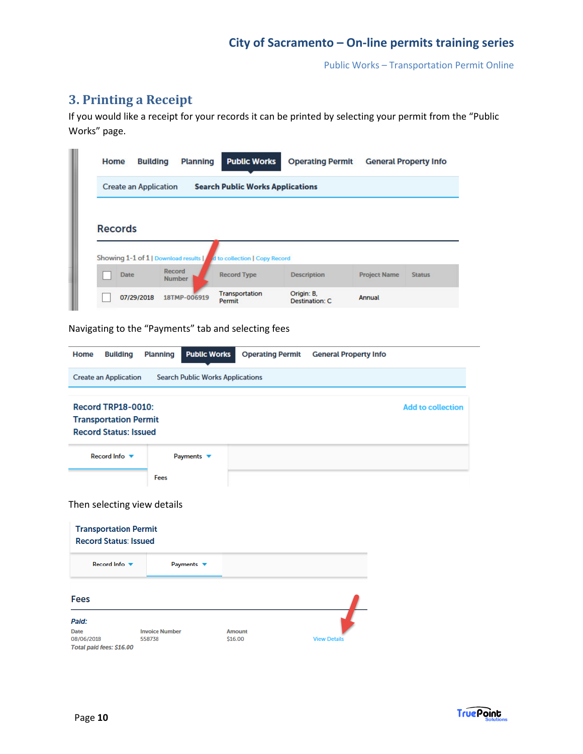Public Works – Transportation Permit Online

## **3. Printing a Receipt**

If you would like a receipt for your records it can be printed by selecting your permit from the "Public Works" page.

| <b>Create an Application</b>        |               | <b>Search Public Works Applications</b> |                    |                     |               |
|-------------------------------------|---------------|-----------------------------------------|--------------------|---------------------|---------------|
|                                     |               |                                         |                    |                     |               |
|                                     |               |                                         |                    |                     |               |
|                                     |               |                                         |                    |                     |               |
| <b>Records</b>                      |               |                                         |                    |                     |               |
|                                     |               |                                         |                    |                     |               |
|                                     |               |                                         |                    |                     |               |
|                                     |               |                                         |                    |                     |               |
|                                     |               |                                         |                    |                     |               |
| Showing 1-1 of 1   Download results |               | d to collection   Copy Record           |                    |                     |               |
| <b>Date</b>                         | Record        | <b>Record Type</b>                      | <b>Description</b> | <b>Project Name</b> | <b>Status</b> |
|                                     | <b>Number</b> |                                         |                    |                     |               |

Navigating to the "Payments" tab and selecting fees

**Invoice Number** 

558738

| <b>Building</b><br>Home                                                                   | <b>Public Works</b><br><b>Planning</b>  | <b>Operating Permit</b> | <b>General Property Info</b> |                          |
|-------------------------------------------------------------------------------------------|-----------------------------------------|-------------------------|------------------------------|--------------------------|
| <b>Create an Application</b>                                                              | <b>Search Public Works Applications</b> |                         |                              |                          |
| <b>Record TRP18-0010:</b><br><b>Transportation Permit</b><br><b>Record Status: Issued</b> |                                         |                         |                              | <b>Add to collection</b> |
| Record Info ▼                                                                             | Payments $\blacktriangledown$           |                         |                              |                          |
|                                                                                           | Fees                                    |                         |                              |                          |
| Then selecting view details                                                               |                                         |                         |                              |                          |
| <b>Transportation Permit</b><br><b>Record Status: Issued</b>                              |                                         |                         |                              |                          |
| Record Info ▼                                                                             | Payments $\blacktriangledown$           |                         |                              |                          |
| <b>Fees</b>                                                                               |                                         |                         |                              |                          |
| Paid:                                                                                     |                                         |                         |                              |                          |

Amount

\$16.00

**View Details** 

**Date** 

08/06/2018

Total paid fees: \$16.00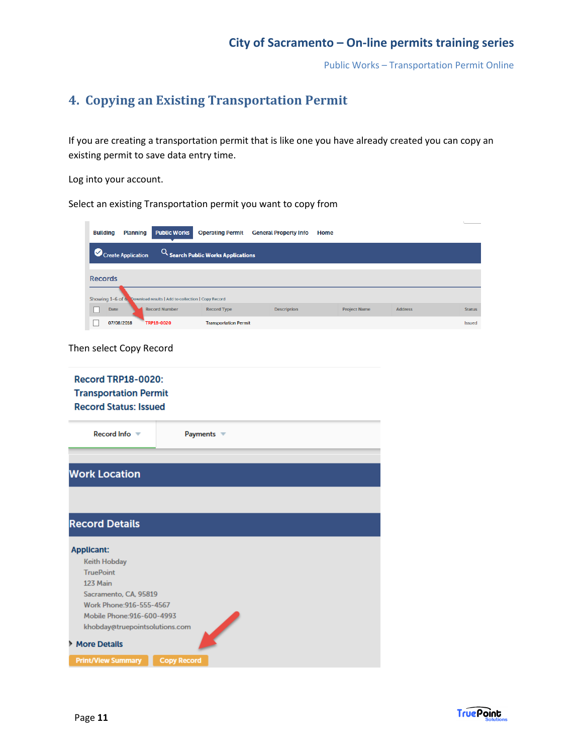Public Works – Transportation Permit Online

## **4. Copying an Existing Transportation Permit**

If you are creating a transportation permit that is like one you have already created you can copy an existing permit to save data entry time.

Log into your account.

Select an existing Transportation permit you want to copy from

| <b>Planning</b><br><b>Building</b>                                                                                   | <b>Public Works</b>                                | <b>Operating Permit</b>                          | <b>General Property Info</b> | <b>Home</b>         |                |               |
|----------------------------------------------------------------------------------------------------------------------|----------------------------------------------------|--------------------------------------------------|------------------------------|---------------------|----------------|---------------|
| Create Application                                                                                                   |                                                    | $Q_{\mathsf{Search} }$ Public Works Applications |                              |                     |                |               |
|                                                                                                                      |                                                    |                                                  |                              |                     |                |               |
| <b>Records</b>                                                                                                       |                                                    |                                                  |                              |                     |                |               |
| Showing 1-6 of 6                                                                                                     | Download results   Add to collection   Copy Record |                                                  |                              |                     |                |               |
| <b>Date</b>                                                                                                          | <b>Record Number</b>                               | <b>Record Type</b>                               | <b>Description</b>           | <b>Project Name</b> | <b>Address</b> | <b>Status</b> |
| 07/08/2018                                                                                                           | TRP18-0020                                         | <b>Transportation Permit</b>                     |                              |                     |                | <b>Issued</b> |
| Then select Copy Record<br><b>Record TRP18-0020:</b><br><b>Transportation Permit</b><br><b>Record Status: Issued</b> |                                                    |                                                  |                              |                     |                |               |
| Record Info                                                                                                          |                                                    | Payments $\blacktriangledown$                    |                              |                     |                |               |
| <b>Work Location</b>                                                                                                 |                                                    |                                                  |                              |                     |                |               |
|                                                                                                                      |                                                    |                                                  |                              |                     |                |               |
| <b>Record Details</b>                                                                                                |                                                    |                                                  |                              |                     |                |               |

| <b>Applicant:</b>              |                    |
|--------------------------------|--------------------|
|                                |                    |
| <b>Keith Hobday</b>            |                    |
| <b>TruePoint</b>               |                    |
| 123 Main                       |                    |
| Sacramento, CA, 95819          |                    |
| Work Phone: 916-555-4567       |                    |
| Mobile Phone: 916-600-4993     |                    |
| khobday@truepointsolutions.com |                    |
| More Details                   |                    |
|                                |                    |
| <b>Print/View Summary</b>      | <b>Copy Record</b> |